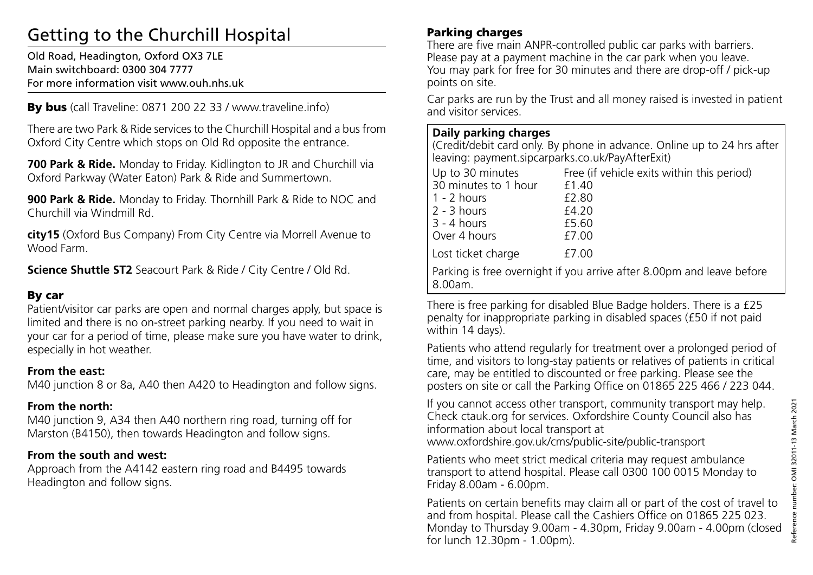# Getting to the Churchill Hospital

Old Road, Headington, Oxford OX3 7LE Main switchboard: 0300 304 7777 For more information visit www.ouh.nhs.uk

By bus (call Traveline: 0871 200 22 33 / www.traveline.info)

There are two Park & Ride services to the Churchill Hospital and a bus from Oxford City Centre which stops on Old Rd opposite the entrance.

**700 Park & Ride.** Monday to Friday. Kidlington to JR and Churchill via Oxford Parkway (Water Eaton) Park & Ride and Summertown.

**900 Park & Ride.** Monday to Friday. Thornhill Park & Ride to NOC and Churchill via Windmill Rd.

**city15** (Oxford Bus Company) From City Centre via Morrell Avenue to Wood Farm.

**Science Shuttle ST2** Seacourt Park & Ride / City Centre / Old Rd.

## By car

Patient/visitor car parks are open and normal charges apply, but space is limited and there is no on-street parking nearby. If you need to wait in your car for a period of time, please make sure you have water to drink, especially in hot weather.

#### **From the east:**

M40 junction 8 or 8a, A40 then A420 to Headington and follow signs.

## **From the north:**

M40 junction 9, A34 then A40 northern ring road, turning off for Marston (B4150), then towards Headington and follow signs.

## **From the south and west:**

Approach from the A4142 eastern ring road and B4495 towards Headington and follow signs.

## Parking charges

There are five main ANPR-controlled public car parks with barriers. Please pay at a payment machine in the car park when you leave. You may park for free for 30 minutes and there are drop-off / pick-up points on site.

Car parks are run by the Trust and all money raised is invested in patient and visitor services.

#### **Daily parking charges**

(Credit/debit card only. By phone in advance. Online up to 24 hrs after leaving: payment.sipcarparks.co.uk/PayAfterExit)

|                                                                                    | Up to 30 minutes<br>30 minutes to 1 hour<br>$1 - 2$ hours<br>$2 - 3$ hours<br>  3 - 4 hours<br>Over 4 hours | Free (if vehicle exits within this period)<br>£1.40<br>£2.80<br>£4.20<br>£5.60<br>£7.00 |
|------------------------------------------------------------------------------------|-------------------------------------------------------------------------------------------------------------|-----------------------------------------------------------------------------------------|
|                                                                                    | Lost ticket charge                                                                                          | £7.00                                                                                   |
| Parking is free overnight if you arrive after 8.00pm and leave before<br>  8.00am. |                                                                                                             |                                                                                         |

There is free parking for disabled Blue Badge holders. There is a £25 penalty for inappropriate parking in disabled spaces (£50 if not paid within 14 days).

Patients who attend regularly for treatment over a prolonged period of time, and visitors to long-stay patients or relatives of patients in critical care, may be entitled to discounted or free parking. Please see the posters on site or call the Parking Office on 01865 225 466 / 223 044.

If you cannot access other transport, community transport may help. Check ctauk.org for services. Oxfordshire County Council also has information about local transport at

www.oxfordshire.gov.uk/cms/public-site/public-transport

Patients who meet strict medical criteria may request ambulance transport to attend hospital. Please call 0300 100 0015 Monday to Friday 8.00am - 6.00pm.

Patients on certain benefits may claim all or part of the cost of travel to and from hospital. Please call the Cashiers Office on 01865 225 023. Monday to Thursday 9.00am - 4.30pm, Friday 9.00am - 4.00pm (closed for lunch 12.30pm - 1.00pm).